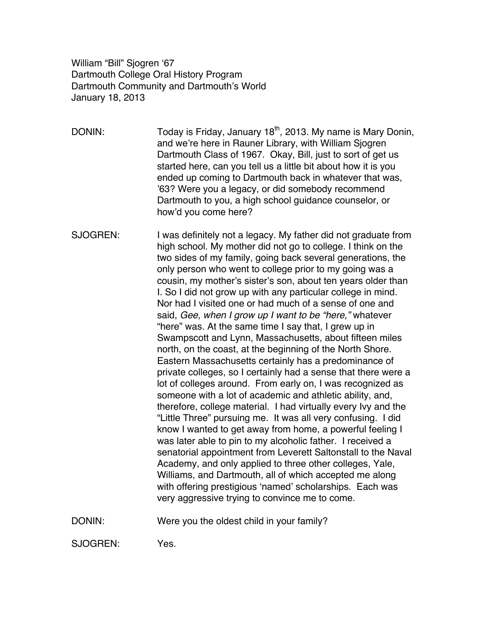William "Bill" Sjogren '67 Dartmouth College Oral History Program Dartmouth Community and Dartmouth's World January 18, 2013

DONIN: Today is Friday, January  $18<sup>th</sup>$ , 2013. My name is Mary Donin, and we're here in Rauner Library, with William Sjogren Dartmouth Class of 1967. Okay, Bill, just to sort of get us started here, can you tell us a little bit about how it is you ended up coming to Dartmouth back in whatever that was, '63? Were you a legacy, or did somebody recommend Dartmouth to you, a high school guidance counselor, or how'd you come here?

SJOGREN: I was definitely not a legacy. My father did not graduate from high school. My mother did not go to college. I think on the two sides of my family, going back several generations, the only person who went to college prior to my going was a cousin, my mother's sister's son, about ten years older than I. So I did not grow up with any particular college in mind. Nor had I visited one or had much of a sense of one and said, *Gee, when I grow up I want to be "here,"* whatever "here" was. At the same time I say that, I grew up in Swampscott and Lynn, Massachusetts, about fifteen miles north, on the coast, at the beginning of the North Shore. Eastern Massachusetts certainly has a predominance of private colleges, so I certainly had a sense that there were a lot of colleges around. From early on, I was recognized as someone with a lot of academic and athletic ability, and, therefore, college material. I had virtually every Ivy and the "Little Three" pursuing me. It was all very confusing. I did know I wanted to get away from home, a powerful feeling I was later able to pin to my alcoholic father. I received a senatorial appointment from Leverett Saltonstall to the Naval Academy, and only applied to three other colleges, Yale, Williams, and Dartmouth, all of which accepted me along with offering prestigious 'named' scholarships. Each was very aggressive trying to convince me to come.

DONIN: Were you the oldest child in your family?

SJOGREN: Yes.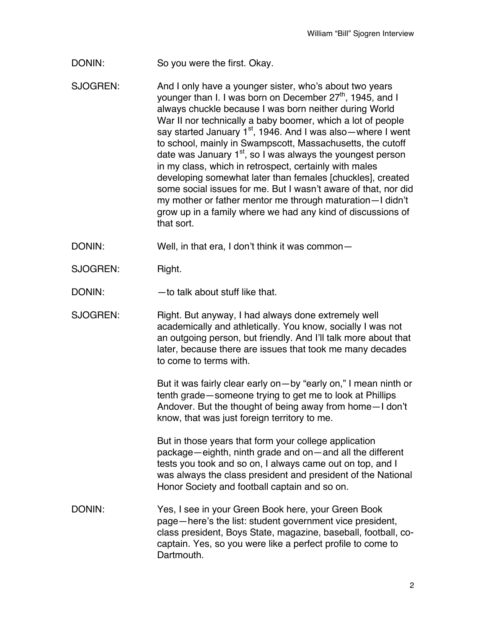DONIN: So you were the first. Okay.

SJOGREN: And I only have a younger sister, who's about two years younger than I. I was born on December 27<sup>th</sup>, 1945, and I always chuckle because I was born neither during World War II nor technically a baby boomer, which a lot of people say started January  $1<sup>st</sup>$ , 1946. And I was also—where I went to school, mainly in Swampscott, Massachusetts, the cutoff date was January  $1<sup>st</sup>$ , so I was always the youngest person in my class, which in retrospect, certainly with males developing somewhat later than females [chuckles], created some social issues for me. But I wasn't aware of that, nor did my mother or father mentor me through maturation—I didn't grow up in a family where we had any kind of discussions of that sort.

DONIN: Well, in that era, I don't think it was common-

SJOGREN: Right.

DONIN: — — to talk about stuff like that.

SJOGREN: Right. But anyway, I had always done extremely well academically and athletically. You know, socially I was not an outgoing person, but friendly. And I'll talk more about that later, because there are issues that took me many decades to come to terms with.

> But it was fairly clear early on—by "early on," I mean ninth or tenth grade—someone trying to get me to look at Phillips Andover. But the thought of being away from home—I don't know, that was just foreign territory to me.

> But in those years that form your college application package—eighth, ninth grade and on—and all the different tests you took and so on, I always came out on top, and I was always the class president and president of the National Honor Society and football captain and so on.

DONIN: Yes, I see in your Green Book here, your Green Book page—here's the list: student government vice president, class president, Boys State, magazine, baseball, football, cocaptain. Yes, so you were like a perfect profile to come to Dartmouth.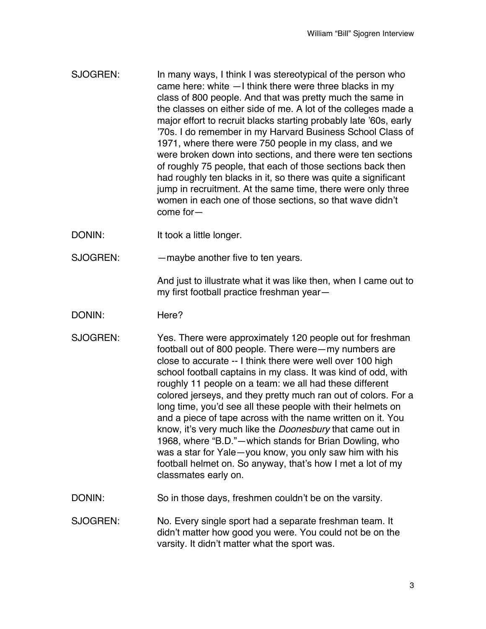- SJOGREN: In many ways, I think I was stereotypical of the person who came here: white —I think there were three blacks in my class of 800 people. And that was pretty much the same in the classes on either side of me. A lot of the colleges made a major effort to recruit blacks starting probably late '60s, early '70s. I do remember in my Harvard Business School Class of 1971, where there were 750 people in my class, and we were broken down into sections, and there were ten sections of roughly 75 people, that each of those sections back then had roughly ten blacks in it, so there was quite a significant jump in recruitment. At the same time, there were only three women in each one of those sections, so that wave didn't come for—
- DONIN: It took a little longer.
- SJOGREN: — maybe another five to ten years.

And just to illustrate what it was like then, when I came out to my first football practice freshman year—

- DONIN: Here?
- SJOGREN: Yes. There were approximately 120 people out for freshman football out of 800 people. There were—my numbers are close to accurate -- I think there were well over 100 high school football captains in my class. It was kind of odd, with roughly 11 people on a team: we all had these different colored jerseys, and they pretty much ran out of colors. For a long time, you'd see all these people with their helmets on and a piece of tape across with the name written on it. You know, it's very much like the *Doonesbury* that came out in 1968, where "B.D."—which stands for Brian Dowling, who was a star for Yale—you know, you only saw him with his football helmet on. So anyway, that's how I met a lot of my classmates early on.
- DONIN: So in those days, freshmen couldn't be on the varsity.
- SJOGREN: No. Every single sport had a separate freshman team. It didn't matter how good you were. You could not be on the varsity. It didn't matter what the sport was.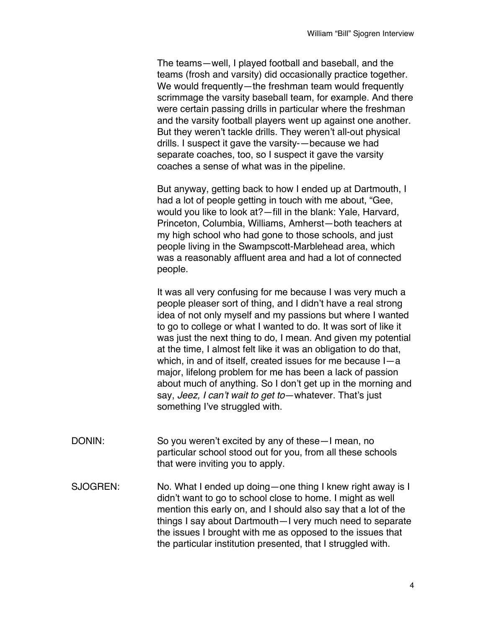The teams—well, I played football and baseball, and the teams (frosh and varsity) did occasionally practice together. We would frequently—the freshman team would frequently scrimmage the varsity baseball team, for example. And there were certain passing drills in particular where the freshman and the varsity football players went up against one another. But they weren't tackle drills. They weren't all-out physical drills. I suspect it gave the varsity-—because we had separate coaches, too, so I suspect it gave the varsity coaches a sense of what was in the pipeline.

But anyway, getting back to how I ended up at Dartmouth, I had a lot of people getting in touch with me about, "Gee, would you like to look at?—fill in the blank: Yale, Harvard, Princeton, Columbia, Williams, Amherst—both teachers at my high school who had gone to those schools, and just people living in the Swampscott-Marblehead area, which was a reasonably affluent area and had a lot of connected people.

It was all very confusing for me because I was very much a people pleaser sort of thing, and I didn't have a real strong idea of not only myself and my passions but where I wanted to go to college or what I wanted to do. It was sort of like it was just the next thing to do, I mean. And given my potential at the time, I almost felt like it was an obligation to do that, which, in and of itself, created issues for me because I—a major, lifelong problem for me has been a lack of passion about much of anything. So I don't get up in the morning and say, *Jeez, I can't wait to get to*—whatever. That's just something I've struggled with.

- DONIN: So you weren't excited by any of these—I mean, no particular school stood out for you, from all these schools that were inviting you to apply.
- SJOGREN: No. What I ended up doing—one thing I knew right away is I didn't want to go to school close to home. I might as well mention this early on, and I should also say that a lot of the things I say about Dartmouth—I very much need to separate the issues I brought with me as opposed to the issues that the particular institution presented, that I struggled with.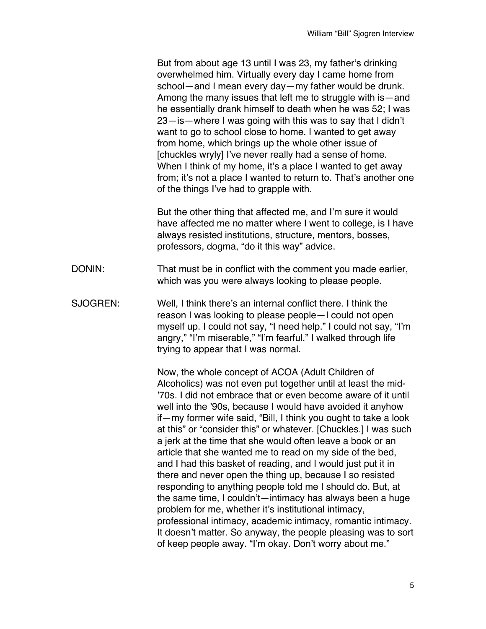But from about age 13 until I was 23, my father's drinking overwhelmed him. Virtually every day I came home from school—and I mean every day—my father would be drunk. Among the many issues that left me to struggle with is—and he essentially drank himself to death when he was 52; I was 23—is—where I was going with this was to say that I didn't want to go to school close to home. I wanted to get away from home, which brings up the whole other issue of [chuckles wryly] I've never really had a sense of home. When I think of my home, it's a place I wanted to get away from; it's not a place I wanted to return to. That's another one of the things I've had to grapple with.

But the other thing that affected me, and I'm sure it would have affected me no matter where I went to college, is I have always resisted institutions, structure, mentors, bosses, professors, dogma, "do it this way" advice.

- DONIN: That must be in conflict with the comment you made earlier, which was you were always looking to please people.
- SJOGREN: Well, I think there's an internal conflict there. I think the reason I was looking to please people—I could not open myself up. I could not say, "I need help." I could not say, "I'm angry," "I'm miserable," "I'm fearful." I walked through life trying to appear that I was normal.

Now, the whole concept of ACOA (Adult Children of Alcoholics) was not even put together until at least the mid- '70s. I did not embrace that or even become aware of it until well into the '90s, because I would have avoided it anyhow if—my former wife said, "Bill, I think you ought to take a look at this" or "consider this" or whatever. [Chuckles.] I was such a jerk at the time that she would often leave a book or an article that she wanted me to read on my side of the bed, and I had this basket of reading, and I would just put it in there and never open the thing up, because I so resisted responding to anything people told me I should do. But, at the same time, I couldn't—intimacy has always been a huge problem for me, whether it's institutional intimacy, professional intimacy, academic intimacy, romantic intimacy. It doesn't matter. So anyway, the people pleasing was to sort of keep people away. "I'm okay. Don't worry about me."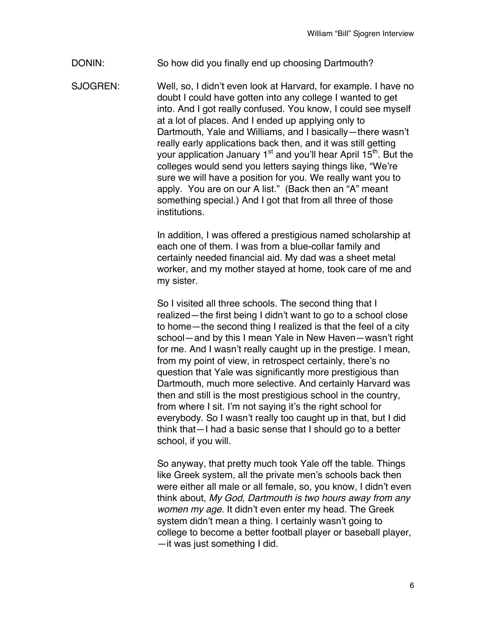DONIN: So how did you finally end up choosing Dartmouth?

SJOGREN: Well, so, I didn't even look at Harvard, for example. I have no doubt I could have gotten into any college I wanted to get into. And I got really confused. You know, I could see myself at a lot of places. And I ended up applying only to Dartmouth, Yale and Williams, and I basically—there wasn't really early applications back then, and it was still getting your application January  $1<sup>st</sup>$  and you'll hear April  $15<sup>th</sup>$ . But the colleges would send you letters saying things like, "We're sure we will have a position for you. We really want you to apply. You are on our A list." (Back then an "A" meant something special.) And I got that from all three of those institutions.

> In addition, I was offered a prestigious named scholarship at each one of them. I was from a blue-collar family and certainly needed financial aid. My dad was a sheet metal worker, and my mother stayed at home, took care of me and my sister.

> So I visited all three schools. The second thing that I realized—the first being I didn't want to go to a school close to home—the second thing I realized is that the feel of a city school—and by this I mean Yale in New Haven—wasn't right for me. And I wasn't really caught up in the prestige. I mean, from my point of view, in retrospect certainly, there's no question that Yale was significantly more prestigious than Dartmouth, much more selective. And certainly Harvard was then and still is the most prestigious school in the country, from where I sit. I'm not saying it's the right school for everybody. So I wasn't really too caught up in that, but I did think that—I had a basic sense that I should go to a better school, if you will.

> So anyway, that pretty much took Yale off the table. Things like Greek system, all the private men's schools back then were either all male or all female, so, you know, I didn't even think about, *My God, Dartmouth is two hours away from any women my age*. It didn't even enter my head. The Greek system didn't mean a thing. I certainly wasn't going to college to become a better football player or baseball player, —it was just something I did.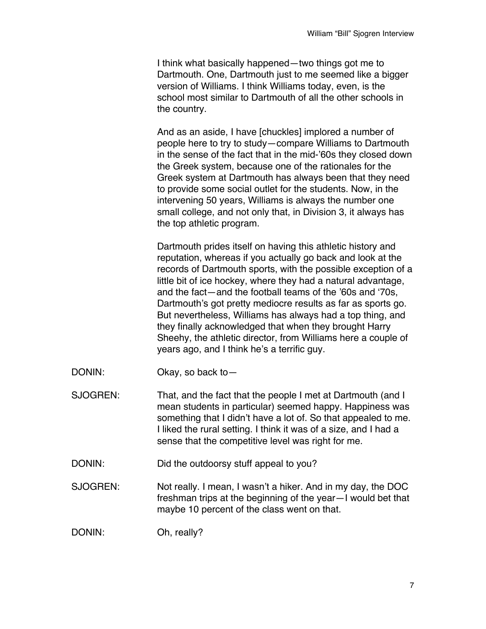I think what basically happened—two things got me to Dartmouth. One, Dartmouth just to me seemed like a bigger version of Williams. I think Williams today, even, is the school most similar to Dartmouth of all the other schools in the country.

And as an aside, I have [chuckles] implored a number of people here to try to study—compare Williams to Dartmouth in the sense of the fact that in the mid-'60s they closed down the Greek system, because one of the rationales for the Greek system at Dartmouth has always been that they need to provide some social outlet for the students. Now, in the intervening 50 years, Williams is always the number one small college, and not only that, in Division 3, it always has the top athletic program.

Dartmouth prides itself on having this athletic history and reputation, whereas if you actually go back and look at the records of Dartmouth sports, with the possible exception of a little bit of ice hockey, where they had a natural advantage, and the fact—and the football teams of the '60s and '70s, Dartmouth's got pretty mediocre results as far as sports go. But nevertheless, Williams has always had a top thing, and they finally acknowledged that when they brought Harry Sheehy, the athletic director, from Williams here a couple of years ago, and I think he's a terrific guy.

DONIN: Okay, so back to-

SJOGREN: That, and the fact that the people I met at Dartmouth (and I mean students in particular) seemed happy. Happiness was something that I didn't have a lot of. So that appealed to me. I liked the rural setting. I think it was of a size, and I had a sense that the competitive level was right for me.

DONIN: Did the outdoorsy stuff appeal to you?

SJOGREN: Not really. I mean, I wasn't a hiker. And in my day, the DOC freshman trips at the beginning of the year—I would bet that maybe 10 percent of the class went on that.

DONIN: Oh, really?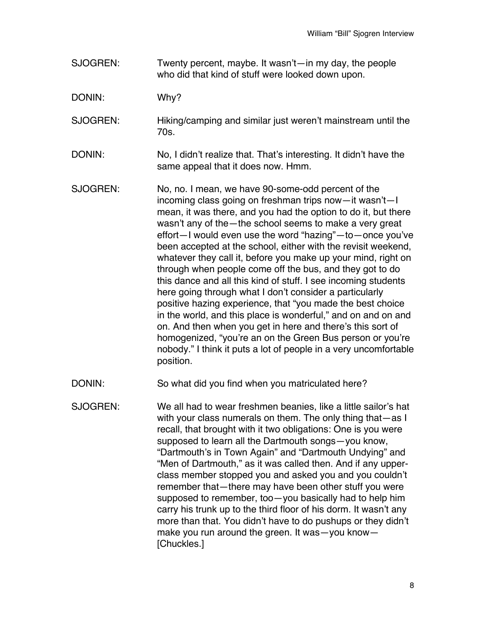SJOGREN: Twenty percent, maybe. It wasn't—in my day, the people who did that kind of stuff were looked down upon.

DONIN: Why?

- SJOGREN: Hiking/camping and similar just weren't mainstream until the 70s.
- DONIN: No, I didn't realize that. That's interesting. It didn't have the same appeal that it does now. Hmm.
- SJOGREN: No, no. I mean, we have 90-some-odd percent of the incoming class going on freshman trips now—it wasn't—I mean, it was there, and you had the option to do it, but there wasn't any of the—the school seems to make a very great effort—I would even use the word "hazing"—to—once you've been accepted at the school, either with the revisit weekend, whatever they call it, before you make up your mind, right on through when people come off the bus, and they got to do this dance and all this kind of stuff. I see incoming students here going through what I don't consider a particularly positive hazing experience, that "you made the best choice in the world, and this place is wonderful," and on and on and on. And then when you get in here and there's this sort of homogenized, "you're an on the Green Bus person or you're nobody." I think it puts a lot of people in a very uncomfortable position.
- DONIN: So what did you find when you matriculated here?
- SJOGREN: We all had to wear freshmen beanies, like a little sailor's hat with your class numerals on them. The only thing that—as I recall, that brought with it two obligations: One is you were supposed to learn all the Dartmouth songs—you know, "Dartmouth's in Town Again" and "Dartmouth Undying" and "Men of Dartmouth," as it was called then. And if any upperclass member stopped you and asked you and you couldn't remember that—there may have been other stuff you were supposed to remember, too—you basically had to help him carry his trunk up to the third floor of his dorm. It wasn't any more than that. You didn't have to do pushups or they didn't make you run around the green. It was—you know— [Chuckles.]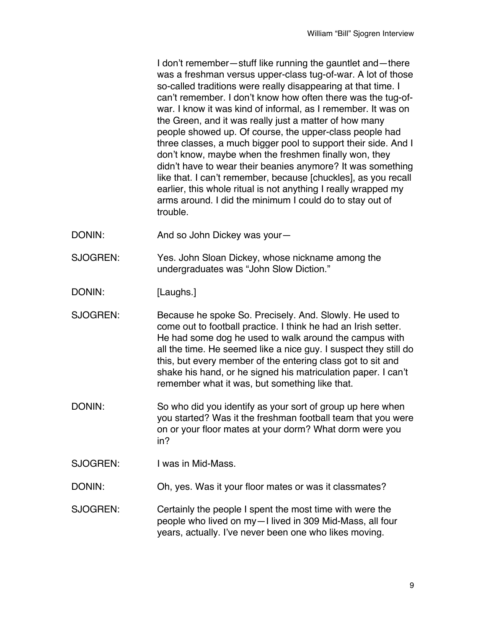I don't remember—stuff like running the gauntlet and—there was a freshman versus upper-class tug-of-war. A lot of those so-called traditions were really disappearing at that time. I can't remember. I don't know how often there was the tug-ofwar. I know it was kind of informal, as I remember. It was on the Green, and it was really just a matter of how many people showed up. Of course, the upper-class people had three classes, a much bigger pool to support their side. And I don't know, maybe when the freshmen finally won, they didn't have to wear their beanies anymore? It was something like that. I can't remember, because [chuckles], as you recall earlier, this whole ritual is not anything I really wrapped my arms around. I did the minimum I could do to stay out of trouble.

- DONIN: And so John Dickey was your—
- SJOGREN: Yes. John Sloan Dickey, whose nickname among the undergraduates was "John Slow Diction."
- DONIN: [Laughs.]
- SJOGREN: Because he spoke So. Precisely. And. Slowly. He used to come out to football practice. I think he had an Irish setter. He had some dog he used to walk around the campus with all the time. He seemed like a nice guy. I suspect they still do this, but every member of the entering class got to sit and shake his hand, or he signed his matriculation paper. I can't remember what it was, but something like that.
- DONIN: So who did you identify as your sort of group up here when you started? Was it the freshman football team that you were on or your floor mates at your dorm? What dorm were you in?
- SJOGREN: I was in Mid-Mass.
- DONIN: Oh, yes. Was it your floor mates or was it classmates?
- SJOGREN: Certainly the people I spent the most time with were the people who lived on my—I lived in 309 Mid-Mass, all four years, actually. I've never been one who likes moving.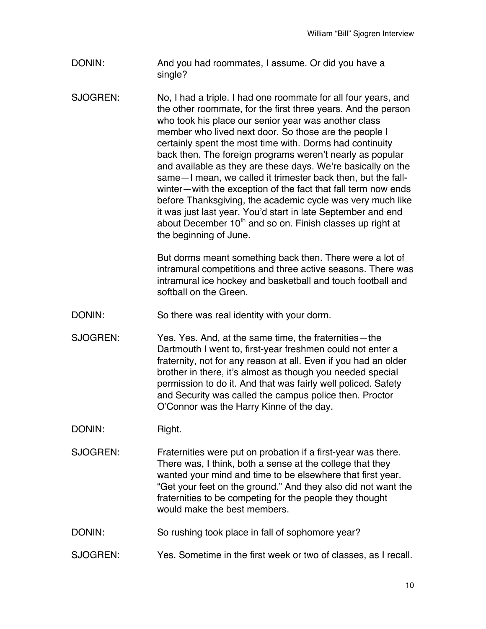- DONIN: And you had roommates, I assume. Or did you have a single?
- SJOGREN: No, I had a triple. I had one roommate for all four years, and the other roommate, for the first three years. And the person who took his place our senior year was another class member who lived next door. So those are the people I certainly spent the most time with. Dorms had continuity back then. The foreign programs weren't nearly as popular and available as they are these days. We're basically on the same—I mean, we called it trimester back then, but the fallwinter—with the exception of the fact that fall term now ends before Thanksgiving, the academic cycle was very much like it was just last year. You'd start in late September and end about December  $10<sup>th</sup>$  and so on. Finish classes up right at the beginning of June.

But dorms meant something back then. There were a lot of intramural competitions and three active seasons. There was intramural ice hockey and basketball and touch football and softball on the Green.

DONIN: So there was real identity with your dorm.

SJOGREN: Yes. Yes. And, at the same time, the fraternities—the Dartmouth I went to, first-year freshmen could not enter a fraternity, not for any reason at all. Even if you had an older brother in there, it's almost as though you needed special permission to do it. And that was fairly well policed. Safety and Security was called the campus police then. Proctor O'Connor was the Harry Kinne of the day.

DONIN: Right.

- SJOGREN: Fraternities were put on probation if a first-year was there. There was, I think, both a sense at the college that they wanted your mind and time to be elsewhere that first year. "Get your feet on the ground." And they also did not want the fraternities to be competing for the people they thought would make the best members.
- DONIN: So rushing took place in fall of sophomore year?
- SJOGREN: Yes. Sometime in the first week or two of classes, as I recall.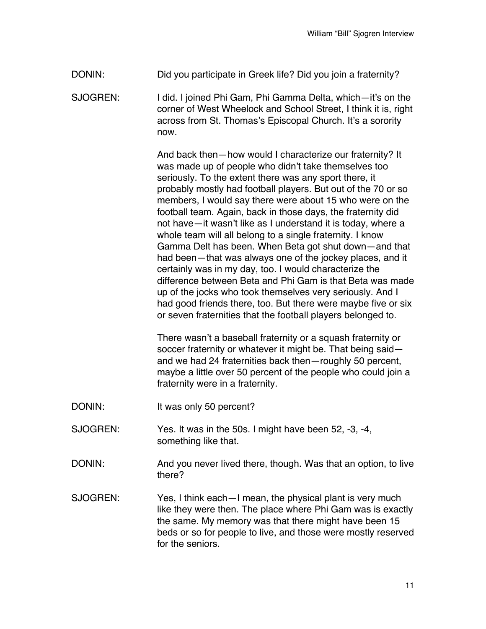- DONIN: Did you participate in Greek life? Did you join a fraternity?
- SJOGREN: I did. I joined Phi Gam, Phi Gamma Delta, which—it's on the corner of West Wheelock and School Street, I think it is, right across from St. Thomas's Episcopal Church. It's a sorority now.

And back then—how would I characterize our fraternity? It was made up of people who didn't take themselves too seriously. To the extent there was any sport there, it probably mostly had football players. But out of the 70 or so members, I would say there were about 15 who were on the football team. Again, back in those days, the fraternity did not have—it wasn't like as I understand it is today, where a whole team will all belong to a single fraternity. I know Gamma Delt has been. When Beta got shut down—and that had been—that was always one of the jockey places, and it certainly was in my day, too. I would characterize the difference between Beta and Phi Gam is that Beta was made up of the jocks who took themselves very seriously. And I had good friends there, too. But there were maybe five or six or seven fraternities that the football players belonged to.

There wasn't a baseball fraternity or a squash fraternity or soccer fraternity or whatever it might be. That being said and we had 24 fraternities back then—roughly 50 percent, maybe a little over 50 percent of the people who could join a fraternity were in a fraternity.

- DONIN: It was only 50 percent?
- SJOGREN: Yes. It was in the 50s. I might have been 52, -3, -4, something like that.
- DONIN: And you never lived there, though. Was that an option, to live there?
- SJOGREN: Yes, I think each—I mean, the physical plant is very much like they were then. The place where Phi Gam was is exactly the same. My memory was that there might have been 15 beds or so for people to live, and those were mostly reserved for the seniors.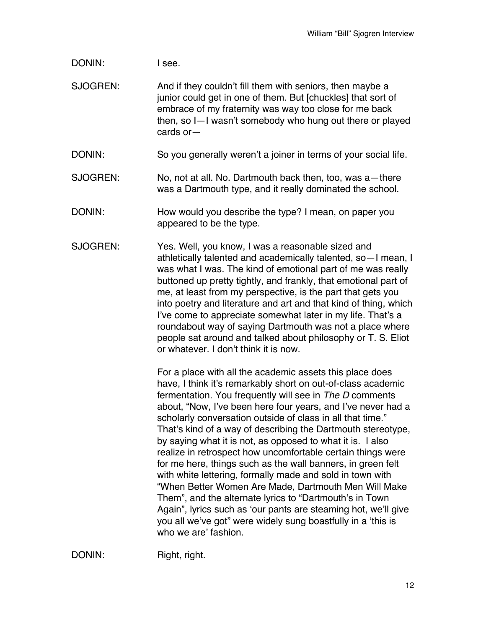DONIN: I see.

SJOGREN: And if they couldn't fill them with seniors, then maybe a junior could get in one of them. But [chuckles] that sort of embrace of my fraternity was way too close for me back then, so I—I wasn't somebody who hung out there or played cards or—

DONIN: So you generally weren't a joiner in terms of your social life.

- SJOGREN: No, not at all. No. Dartmouth back then, too, was a—there was a Dartmouth type, and it really dominated the school.
- DONIN: How would you describe the type? I mean, on paper you appeared to be the type.
- SJOGREN: Yes. Well, you know, I was a reasonable sized and athletically talented and academically talented, so—I mean, I was what I was. The kind of emotional part of me was really buttoned up pretty tightly, and frankly, that emotional part of me, at least from my perspective, is the part that gets you into poetry and literature and art and that kind of thing, which I've come to appreciate somewhat later in my life. That's a roundabout way of saying Dartmouth was not a place where people sat around and talked about philosophy or T. S. Eliot or whatever. I don't think it is now.

For a place with all the academic assets this place does have, I think it's remarkably short on out-of-class academic fermentation. You frequently will see in *The D* comments about, "Now, I've been here four years, and I've never had a scholarly conversation outside of class in all that time." That's kind of a way of describing the Dartmouth stereotype, by saying what it is not, as opposed to what it is. I also realize in retrospect how uncomfortable certain things were for me here, things such as the wall banners, in green felt with white lettering, formally made and sold in town with "When Better Women Are Made, Dartmouth Men Will Make Them", and the alternate lyrics to "Dartmouth's in Town Again", lyrics such as 'our pants are steaming hot, we'll give you all we've got" were widely sung boastfully in a 'this is who we are' fashion.

DONIN: Right, right.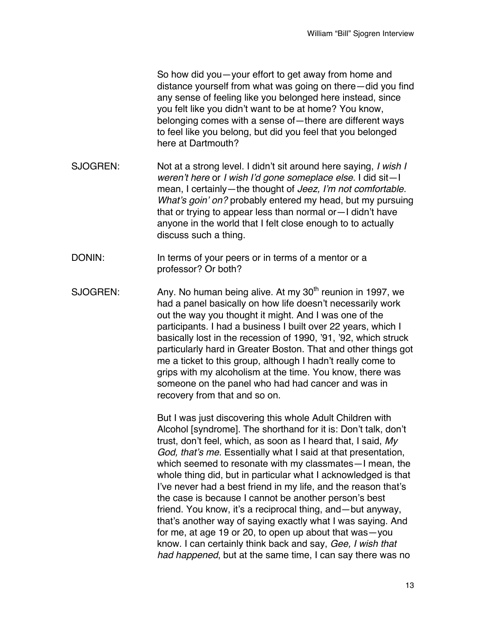So how did you—your effort to get away from home and distance yourself from what was going on there—did you find any sense of feeling like you belonged here instead, since you felt like you didn't want to be at home? You know, belonging comes with a sense of—there are different ways to feel like you belong, but did you feel that you belonged here at Dartmouth?

- SJOGREN: Not at a strong level. I didn't sit around here saying, *I wish I weren't here* or *I wish I'd gone someplace else*. I did sit—I mean, I certainly—the thought of *Jeez, I'm not comfortable. What's goin' on?* probably entered my head, but my pursuing that or trying to appear less than normal or—I didn't have anyone in the world that I felt close enough to to actually discuss such a thing.
- DONIN: In terms of your peers or in terms of a mentor or a professor? Or both?
- SJOGREN: Any. No human being alive. At my  $30<sup>th</sup>$  reunion in 1997, we had a panel basically on how life doesn't necessarily work out the way you thought it might. And I was one of the participants. I had a business I built over 22 years, which I basically lost in the recession of 1990, '91, '92, which struck particularly hard in Greater Boston. That and other things got me a ticket to this group, although I hadn't really come to grips with my alcoholism at the time. You know, there was someone on the panel who had had cancer and was in recovery from that and so on.

But I was just discovering this whole Adult Children with Alcohol [syndrome]. The shorthand for it is: Don't talk, don't trust, don't feel, which, as soon as I heard that, I said, *My God, that's me*. Essentially what I said at that presentation, which seemed to resonate with my classmates—I mean, the whole thing did, but in particular what I acknowledged is that I've never had a best friend in my life, and the reason that's the case is because I cannot be another person's best friend. You know, it's a reciprocal thing, and—but anyway, that's another way of saying exactly what I was saying. And for me, at age 19 or 20, to open up about that was—you know. I can certainly think back and say, *Gee, I wish that had happened*, but at the same time, I can say there was no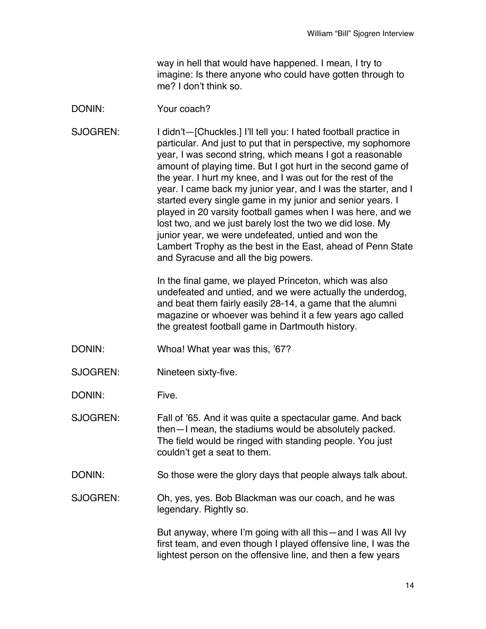way in hell that would have happened. I mean, I try to imagine: Is there anyone who could have gotten through to me? I don't think so.

## DONIN: Your coach?

SJOGREN: I didn't-[Chuckles.] I'll tell you: I hated football practice in particular. And just to put that in perspective, my sophomore year, I was second string, which means I got a reasonable amount of playing time. But I got hurt in the second game of the year. I hurt my knee, and I was out for the rest of the year. I came back my junior year, and I was the starter, and I started every single game in my junior and senior years. I played in 20 varsity football games when I was here, and we lost two, and we just barely lost the two we did lose. My junior year, we were undefeated, untied and won the Lambert Trophy as the best in the East, ahead of Penn State and Syracuse and all the big powers.

> In the final game, we played Princeton, which was also undefeated and untied, and we were actually the underdog, and beat them fairly easily 28-14, a game that the alumni magazine or whoever was behind it a few years ago called the greatest football game in Dartmouth history.

- DONIN: Whoa! What year was this, '67?
- SJOGREN: Nineteen sixty-five.

DONIN: Five.

- SJOGREN: Fall of '65. And it was quite a spectacular game. And back then—I mean, the stadiums would be absolutely packed. The field would be ringed with standing people. You just couldn't get a seat to them.
- DONIN: So those were the glory days that people always talk about.
- SJOGREN: Oh, yes, yes. Bob Blackman was our coach, and he was legendary. Rightly so.

But anyway, where I'm going with all this—and I was All Ivy first team, and even though I played offensive line, I was the lightest person on the offensive line, and then a few years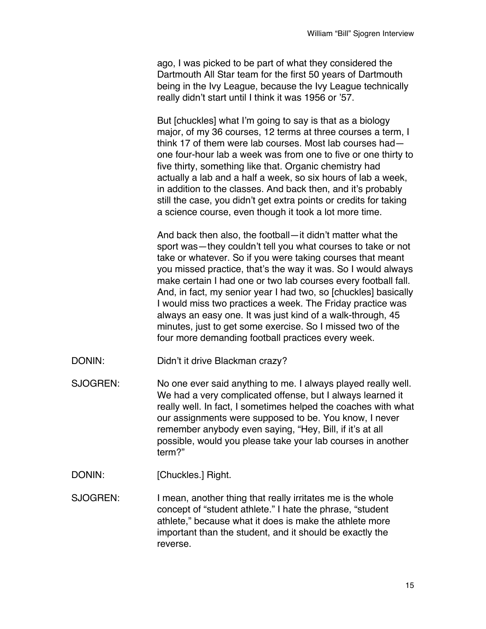ago, I was picked to be part of what they considered the Dartmouth All Star team for the first 50 years of Dartmouth being in the Ivy League, because the Ivy League technically really didn't start until I think it was 1956 or '57.

But [chuckles] what I'm going to say is that as a biology major, of my 36 courses, 12 terms at three courses a term, I think 17 of them were lab courses. Most lab courses had one four-hour lab a week was from one to five or one thirty to five thirty, something like that. Organic chemistry had actually a lab and a half a week, so six hours of lab a week, in addition to the classes. And back then, and it's probably still the case, you didn't get extra points or credits for taking a science course, even though it took a lot more time.

And back then also, the football—it didn't matter what the sport was—they couldn't tell you what courses to take or not take or whatever. So if you were taking courses that meant you missed practice, that's the way it was. So I would always make certain I had one or two lab courses every football fall. And, in fact, my senior year I had two, so [chuckles] basically I would miss two practices a week. The Friday practice was always an easy one. It was just kind of a walk-through, 45 minutes, just to get some exercise. So I missed two of the four more demanding football practices every week.

- DONIN: Didn't it drive Blackman crazy?
- SJOGREN: No one ever said anything to me. I always played really well. We had a very complicated offense, but I always learned it really well. In fact, I sometimes helped the coaches with what our assignments were supposed to be. You know, I never remember anybody even saying, "Hey, Bill, if it's at all possible, would you please take your lab courses in another term?"
- DONIN: [Chuckles.] Right.

SJOGREN: I mean, another thing that really irritates me is the whole concept of "student athlete." I hate the phrase, "student athlete," because what it does is make the athlete more important than the student, and it should be exactly the reverse.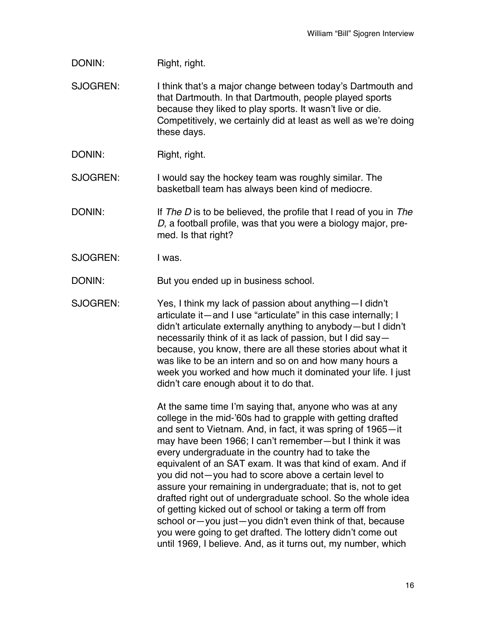DONIN: Right, right.

SJOGREN: I think that's a major change between today's Dartmouth and that Dartmouth. In that Dartmouth, people played sports because they liked to play sports. It wasn't live or die. Competitively, we certainly did at least as well as we're doing these days.

DONIN: Right, right.

SJOGREN: I would say the hockey team was roughly similar. The basketball team has always been kind of mediocre.

- DONIN: If *The D* is to be believed, the profile that I read of you in *The D*, a football profile, was that you were a biology major, premed. Is that right?
- SJOGREN: I was.

DONIN: But you ended up in business school.

SJOGREN: Yes, I think my lack of passion about anything—I didn't articulate it—and I use "articulate" in this case internally; I didn't articulate externally anything to anybody—but I didn't necessarily think of it as lack of passion, but I did say because, you know, there are all these stories about what it was like to be an intern and so on and how many hours a week you worked and how much it dominated your life. I just didn't care enough about it to do that.

> At the same time I'm saying that, anyone who was at any college in the mid-'60s had to grapple with getting drafted and sent to Vietnam. And, in fact, it was spring of 1965—it may have been 1966; I can't remember—but I think it was every undergraduate in the country had to take the equivalent of an SAT exam. It was that kind of exam. And if you did not—you had to score above a certain level to assure your remaining in undergraduate; that is, not to get drafted right out of undergraduate school. So the whole idea of getting kicked out of school or taking a term off from school or—you just—you didn't even think of that, because you were going to get drafted. The lottery didn't come out until 1969, I believe. And, as it turns out, my number, which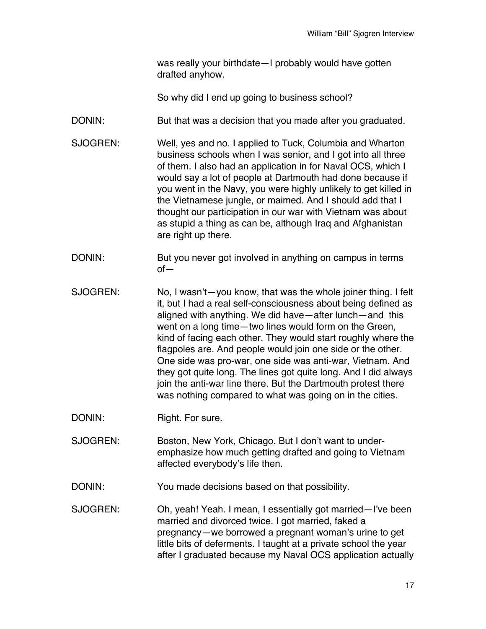was really your birthdate—I probably would have gotten drafted anyhow.

So why did I end up going to business school?

- DONIN: But that was a decision that you made after you graduated.
- SJOGREN: Well, yes and no. I applied to Tuck, Columbia and Wharton business schools when I was senior, and I got into all three of them. I also had an application in for Naval OCS, which I would say a lot of people at Dartmouth had done because if you went in the Navy, you were highly unlikely to get killed in the Vietnamese jungle, or maimed. And I should add that I thought our participation in our war with Vietnam was about as stupid a thing as can be, although Iraq and Afghanistan are right up there.
- DONIN: But you never got involved in anything on campus in terms of—
- SJOGREN: No, I wasn't—you know, that was the whole joiner thing. I felt it, but I had a real self-consciousness about being defined as aligned with anything. We did have—after lunch—and this went on a long time—two lines would form on the Green, kind of facing each other. They would start roughly where the flagpoles are. And people would join one side or the other. One side was pro-war, one side was anti-war, Vietnam. And they got quite long. The lines got quite long. And I did always join the anti-war line there. But the Dartmouth protest there was nothing compared to what was going on in the cities.
- DONIN: Right. For sure.
- SJOGREN: Boston, New York, Chicago. But I don't want to underemphasize how much getting drafted and going to Vietnam affected everybody's life then.
- DONIN: You made decisions based on that possibility.
- SJOGREN: Oh, yeah! Yeah. I mean, I essentially got married—I've been married and divorced twice. I got married, faked a pregnancy—we borrowed a pregnant woman's urine to get little bits of deferments. I taught at a private school the year after I graduated because my Naval OCS application actually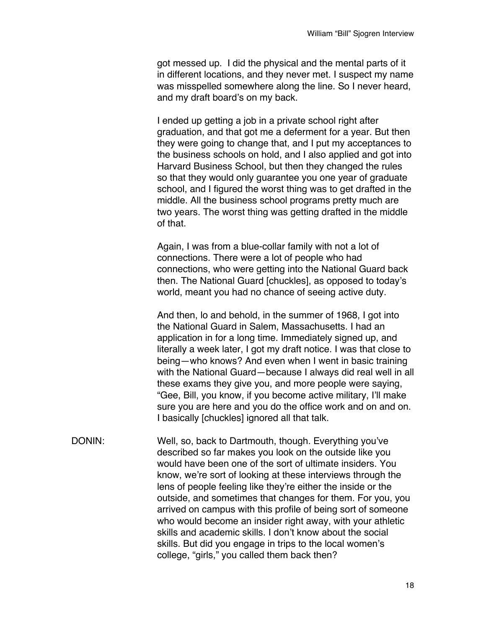got messed up. I did the physical and the mental parts of it in different locations, and they never met. I suspect my name was misspelled somewhere along the line. So I never heard, and my draft board's on my back.

I ended up getting a job in a private school right after graduation, and that got me a deferment for a year. But then they were going to change that, and I put my acceptances to the business schools on hold, and I also applied and got into Harvard Business School, but then they changed the rules so that they would only guarantee you one year of graduate school, and I figured the worst thing was to get drafted in the middle. All the business school programs pretty much are two years. The worst thing was getting drafted in the middle of that.

Again, I was from a blue-collar family with not a lot of connections. There were a lot of people who had connections, who were getting into the National Guard back then. The National Guard [chuckles], as opposed to today's world, meant you had no chance of seeing active duty.

And then, lo and behold, in the summer of 1968, I got into the National Guard in Salem, Massachusetts. I had an application in for a long time. Immediately signed up, and literally a week later, I got my draft notice. I was that close to being—who knows? And even when I went in basic training with the National Guard—because I always did real well in all these exams they give you, and more people were saying, "Gee, Bill, you know, if you become active military, I'll make sure you are here and you do the office work and on and on. I basically [chuckles] ignored all that talk.

DONIN: Well, so, back to Dartmouth, though. Everything you've described so far makes you look on the outside like you would have been one of the sort of ultimate insiders. You know, we're sort of looking at these interviews through the lens of people feeling like they're either the inside or the outside, and sometimes that changes for them. For you, you arrived on campus with this profile of being sort of someone who would become an insider right away, with your athletic skills and academic skills. I don't know about the social skills. But did you engage in trips to the local women's college, "girls," you called them back then?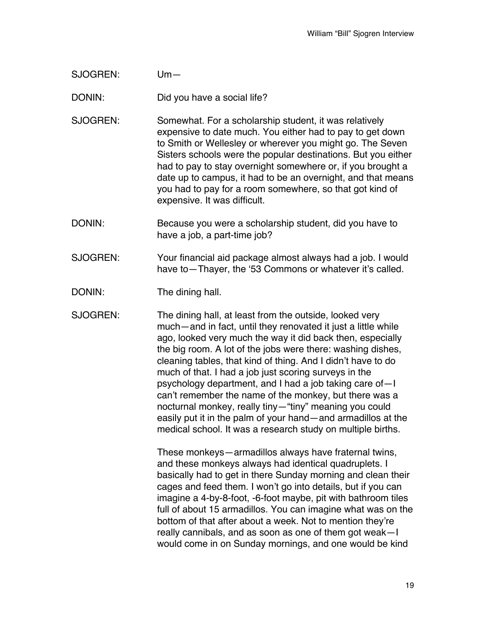SJOGREN: Um—

DONIN: Did you have a social life?

- SJOGREN: Somewhat. For a scholarship student, it was relatively expensive to date much. You either had to pay to get down to Smith or Wellesley or wherever you might go. The Seven Sisters schools were the popular destinations. But you either had to pay to stay overnight somewhere or, if you brought a date up to campus, it had to be an overnight, and that means you had to pay for a room somewhere, so that got kind of expensive. It was difficult.
- DONIN: Because you were a scholarship student, did you have to have a job, a part-time job?
- SJOGREN: Your financial aid package almost always had a job. I would have to - Thayer, the '53 Commons or whatever it's called.
- DONIN: The dining hall.

SJOGREN: The dining hall, at least from the outside, looked very much—and in fact, until they renovated it just a little while ago, looked very much the way it did back then, especially the big room. A lot of the jobs were there: washing dishes, cleaning tables, that kind of thing. And I didn't have to do much of that. I had a job just scoring surveys in the psychology department, and I had a job taking care of—I can't remember the name of the monkey, but there was a nocturnal monkey, really tiny—"tiny" meaning you could easily put it in the palm of your hand—and armadillos at the medical school. It was a research study on multiple births.

> These monkeys—armadillos always have fraternal twins, and these monkeys always had identical quadruplets. I basically had to get in there Sunday morning and clean their cages and feed them. I won't go into details, but if you can imagine a 4-by-8-foot, -6-foot maybe, pit with bathroom tiles full of about 15 armadillos. You can imagine what was on the bottom of that after about a week. Not to mention they're really cannibals, and as soon as one of them got weak—I would come in on Sunday mornings, and one would be kind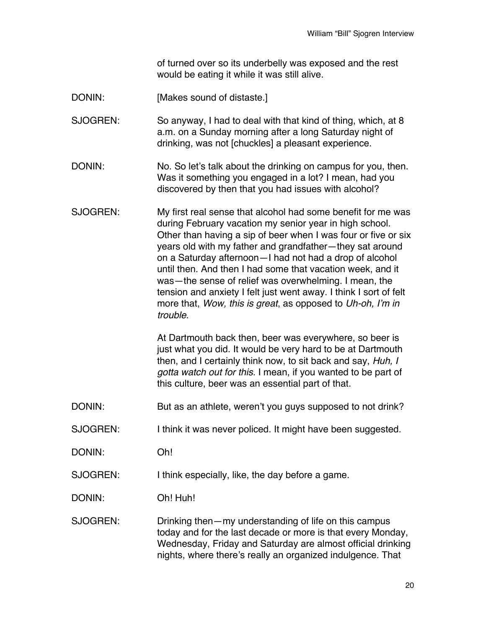of turned over so its underbelly was exposed and the rest would be eating it while it was still alive.

DONIN: [Makes sound of distaste.]

SJOGREN: So anyway, I had to deal with that kind of thing, which, at 8 a.m. on a Sunday morning after a long Saturday night of drinking, was not [chuckles] a pleasant experience.

- DONIN: No. So let's talk about the drinking on campus for you, then. Was it something you engaged in a lot? I mean, had you discovered by then that you had issues with alcohol?
- SJOGREN: My first real sense that alcohol had some benefit for me was during February vacation my senior year in high school. Other than having a sip of beer when I was four or five or six years old with my father and grandfather—they sat around on a Saturday afternoon—I had not had a drop of alcohol until then. And then I had some that vacation week, and it was—the sense of relief was overwhelming. I mean, the tension and anxiety I felt just went away. I think I sort of felt more that, *Wow, this is great*, as opposed to *Uh-oh, I'm in trouble*.

At Dartmouth back then, beer was everywhere, so beer is just what you did. It would be very hard to be at Dartmouth then, and I certainly think now, to sit back and say, *Huh, I gotta watch out for this.* I mean, if you wanted to be part of this culture, beer was an essential part of that.

- DONIN: But as an athlete, weren't you guys supposed to not drink?
- SJOGREN: I think it was never policed. It might have been suggested.
- DONIN: Oh!

SJOGREN: I think especially, like, the day before a game.

DONIN: Oh! Huh!

SJOGREN: Drinking then—my understanding of life on this campus today and for the last decade or more is that every Monday, Wednesday, Friday and Saturday are almost official drinking nights, where there's really an organized indulgence. That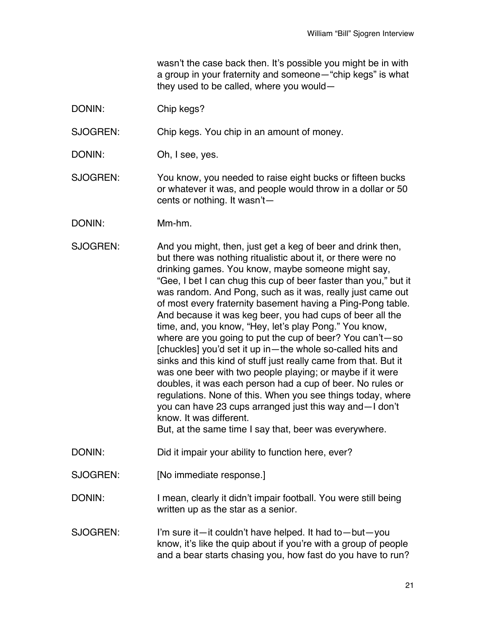wasn't the case back then. It's possible you might be in with a group in your fraternity and someone—"chip kegs" is what they used to be called, where you would—

DONIN: Chip kegs?

SJOGREN: Chip kegs. You chip in an amount of money.

- DONIN: Oh, I see, yes.
- SJOGREN: You know, you needed to raise eight bucks or fifteen bucks or whatever it was, and people would throw in a dollar or 50 cents or nothing. It wasn't—
- DONIN: Mm-hm.
- SJOGREN: And you might, then, just get a keg of beer and drink then, but there was nothing ritualistic about it, or there were no drinking games. You know, maybe someone might say, "Gee, I bet I can chug this cup of beer faster than you," but it was random. And Pong, such as it was, really just came out of most every fraternity basement having a Ping-Pong table. And because it was keg beer, you had cups of beer all the time, and, you know, "Hey, let's play Pong." You know, where are you going to put the cup of beer? You can't—so [chuckles] you'd set it up in—the whole so-called hits and sinks and this kind of stuff just really came from that. But it was one beer with two people playing; or maybe if it were doubles, it was each person had a cup of beer. No rules or regulations. None of this. When you see things today, where you can have 23 cups arranged just this way and—I don't know. It was different. But, at the same time I say that, beer was everywhere.
- DONIN: Did it impair your ability to function here, ever?
- SJOGREN: [No immediate response.]
- DONIN: I mean, clearly it didn't impair football. You were still being written up as the star as a senior.
- SJOGREN: I'm sure it—it couldn't have helped. It had to—but—you know, it's like the quip about if you're with a group of people and a bear starts chasing you, how fast do you have to run?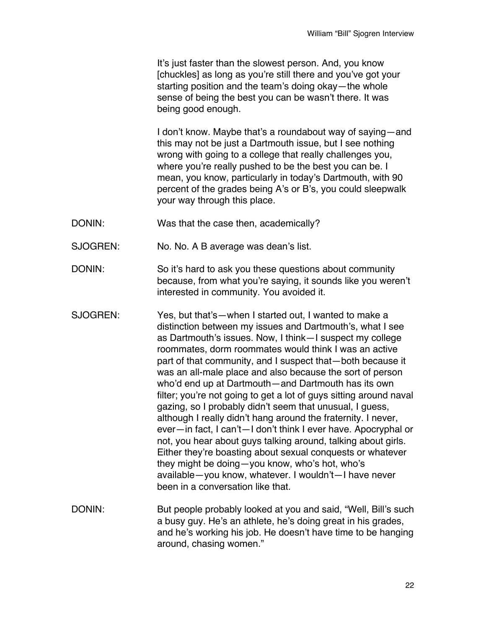It's just faster than the slowest person. And, you know [chuckles] as long as you're still there and you've got your starting position and the team's doing okay—the whole sense of being the best you can be wasn't there. It was being good enough.

I don't know. Maybe that's a roundabout way of saying—and this may not be just a Dartmouth issue, but I see nothing wrong with going to a college that really challenges you, where you're really pushed to be the best you can be. I mean, you know, particularly in today's Dartmouth, with 90 percent of the grades being A's or B's, you could sleepwalk your way through this place.

- DONIN: Was that the case then, academically?
- SJOGREN: No. No. A B average was dean's list.
- DONIN: So it's hard to ask you these questions about community because, from what you're saying, it sounds like you weren't interested in community. You avoided it.
- SJOGREN: Yes, but that's—when I started out, I wanted to make a distinction between my issues and Dartmouth's, what I see as Dartmouth's issues. Now, I think—I suspect my college roommates, dorm roommates would think I was an active part of that community, and I suspect that—both because it was an all-male place and also because the sort of person who'd end up at Dartmouth—and Dartmouth has its own filter; you're not going to get a lot of guys sitting around naval gazing, so I probably didn't seem that unusual, I guess, although I really didn't hang around the fraternity. I never, ever—in fact, I can't—I don't think I ever have. Apocryphal or not, you hear about guys talking around, talking about girls. Either they're boasting about sexual conquests or whatever they might be doing—you know, who's hot, who's available—you know, whatever. I wouldn't—I have never been in a conversation like that.
- DONIN: But people probably looked at you and said, "Well, Bill's such a busy guy. He's an athlete, he's doing great in his grades, and he's working his job. He doesn't have time to be hanging around, chasing women."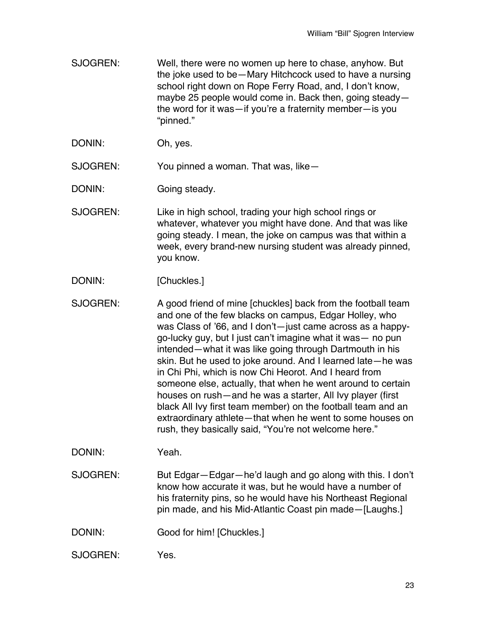- SJOGREN: Well, there were no women up here to chase, anyhow. But the joke used to be—Mary Hitchcock used to have a nursing school right down on Rope Ferry Road, and, I don't know, maybe 25 people would come in. Back then, going steady the word for it was—if you're a fraternity member—is you "pinned."
- DONIN: Oh, yes.

SJOGREN: You pinned a woman. That was, like—

DONIN: Going steady.

SJOGREN: Like in high school, trading your high school rings or whatever, whatever you might have done. And that was like going steady. I mean, the joke on campus was that within a week, every brand-new nursing student was already pinned, you know.

- DONIN: [Chuckles.]
- SJOGREN: A good friend of mine [chuckles] back from the football team and one of the few blacks on campus, Edgar Holley, who was Class of '66, and I don't—just came across as a happygo-lucky guy, but I just can't imagine what it was— no pun intended—what it was like going through Dartmouth in his skin. But he used to joke around. And I learned late—he was in Chi Phi, which is now Chi Heorot. And I heard from someone else, actually, that when he went around to certain houses on rush—and he was a starter, All Ivy player (first black All Ivy first team member) on the football team and an extraordinary athlete—that when he went to some houses on rush, they basically said, "You're not welcome here."

DONIN: Yeah.

SJOGREN: But Edgar—Edgar—he'd laugh and go along with this. I don't know how accurate it was, but he would have a number of his fraternity pins, so he would have his Northeast Regional pin made, and his Mid-Atlantic Coast pin made—[Laughs.]

- DONIN: Good for him! [Chuckles.]
- SJOGREN: Yes.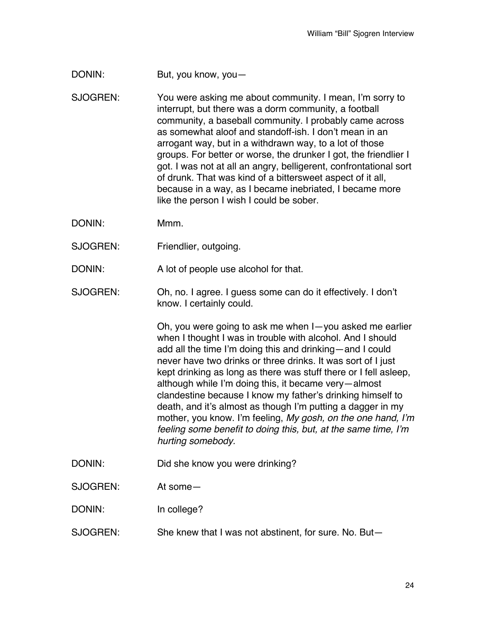- DONIN: But, you know, you
- SJOGREN: You were asking me about community. I mean, I'm sorry to interrupt, but there was a dorm community, a football community, a baseball community. I probably came across as somewhat aloof and standoff-ish. I don't mean in an arrogant way, but in a withdrawn way, to a lot of those groups. For better or worse, the drunker I got, the friendlier I got. I was not at all an angry, belligerent, confrontational sort of drunk. That was kind of a bittersweet aspect of it all, because in a way, as I became inebriated, I became more like the person I wish I could be sober.
- DONIN: Mmm.
- SJOGREN: Friendlier, outgoing.
- DONIN: A lot of people use alcohol for that.
- SJOGREN: Oh, no. I agree. I guess some can do it effectively. I don't know. I certainly could.

Oh, you were going to ask me when I—you asked me earlier when I thought I was in trouble with alcohol. And I should add all the time I'm doing this and drinking—and I could never have two drinks or three drinks. It was sort of I just kept drinking as long as there was stuff there or I fell asleep, although while I'm doing this, it became very—almost clandestine because I know my father's drinking himself to death, and it's almost as though I'm putting a dagger in my mother, you know. I'm feeling, *My gosh, on the one hand, I'm feeling some benefit to doing this, but, at the same time, I'm hurting somebody.*

- DONIN: Did she know you were drinking?
- SJOGREN: At some—
- DONIN: In college?
- SJOGREN: She knew that I was not abstinent, for sure. No. But-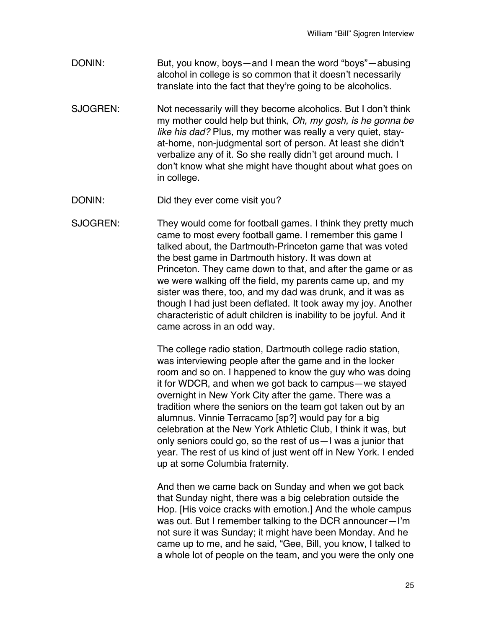- DONIN: But, you know, boys—and I mean the word "boys"—abusing alcohol in college is so common that it doesn't necessarily translate into the fact that they're going to be alcoholics.
- SJOGREN: Not necessarily will they become alcoholics. But I don't think my mother could help but think, *Oh, my gosh, is he gonna be like his dad?* Plus, my mother was really a very quiet, stayat-home, non-judgmental sort of person. At least she didn't verbalize any of it. So she really didn't get around much. I don't know what she might have thought about what goes on in college.
- DONIN: Did they ever come visit you?
- SJOGREN: They would come for football games. I think they pretty much came to most every football game. I remember this game I talked about, the Dartmouth-Princeton game that was voted the best game in Dartmouth history. It was down at Princeton. They came down to that, and after the game or as we were walking off the field, my parents came up, and my sister was there, too, and my dad was drunk, and it was as though I had just been deflated. It took away my joy. Another characteristic of adult children is inability to be joyful. And it came across in an odd way.

The college radio station, Dartmouth college radio station, was interviewing people after the game and in the locker room and so on. I happened to know the guy who was doing it for WDCR, and when we got back to campus—we stayed overnight in New York City after the game. There was a tradition where the seniors on the team got taken out by an alumnus. Vinnie Terracamo [sp?] would pay for a big celebration at the New York Athletic Club, I think it was, but only seniors could go, so the rest of us—I was a junior that year. The rest of us kind of just went off in New York. I ended up at some Columbia fraternity.

And then we came back on Sunday and when we got back that Sunday night, there was a big celebration outside the Hop. [His voice cracks with emotion.] And the whole campus was out. But I remember talking to the DCR announcer—I'm not sure it was Sunday; it might have been Monday. And he came up to me, and he said, "Gee, Bill, you know, I talked to a whole lot of people on the team, and you were the only one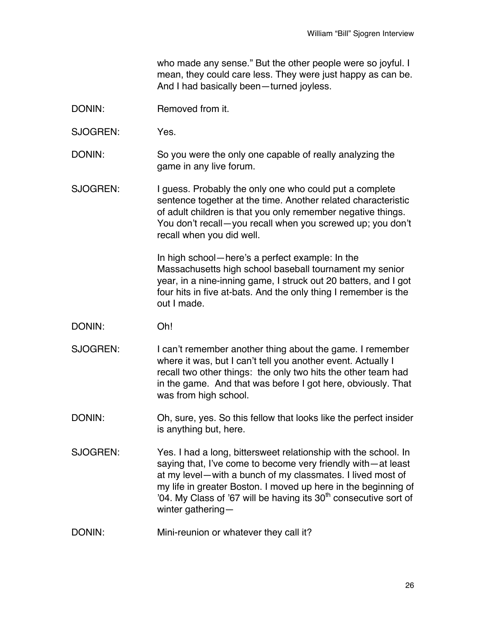who made any sense." But the other people were so joyful. I mean, they could care less. They were just happy as can be. And I had basically been—turned joyless.

- DONIN: Removed from it.
- SJOGREN: Yes.
- DONIN: So you were the only one capable of really analyzing the game in any live forum.
- SJOGREN: I guess. Probably the only one who could put a complete sentence together at the time. Another related characteristic of adult children is that you only remember negative things. You don't recall—you recall when you screwed up; you don't recall when you did well.

In high school—here's a perfect example: In the Massachusetts high school baseball tournament my senior year, in a nine-inning game, I struck out 20 batters, and I got four hits in five at-bats. And the only thing I remember is the out I made.

- DONIN: Oh!
- SJOGREN: I can't remember another thing about the game. I remember where it was, but I can't tell you another event. Actually I recall two other things: the only two hits the other team had in the game. And that was before I got here, obviously. That was from high school.
- DONIN: Oh, sure, yes. So this fellow that looks like the perfect insider is anything but, here.
- SJOGREN: Yes. I had a long, bittersweet relationship with the school. In saying that, I've come to become very friendly with—at least at my level—with a bunch of my classmates. I lived most of my life in greater Boston. I moved up here in the beginning of '04. My Class of '67 will be having its 30<sup>th</sup> consecutive sort of winter gathering—
- DONIN: Mini-reunion or whatever they call it?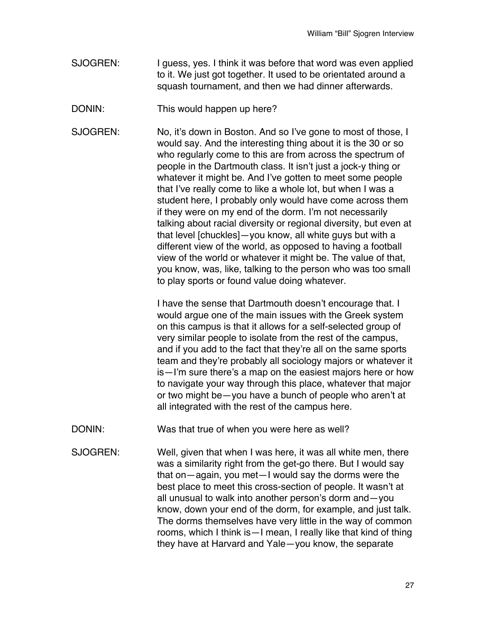- SJOGREN: I guess, yes. I think it was before that word was even applied to it. We just got together. It used to be orientated around a squash tournament, and then we had dinner afterwards.
- DONIN: This would happen up here?
- SJOGREN: No, it's down in Boston. And so I've gone to most of those, I would say. And the interesting thing about it is the 30 or so who regularly come to this are from across the spectrum of people in the Dartmouth class. It isn't just a jock-y thing or whatever it might be. And I've gotten to meet some people that I've really come to like a whole lot, but when I was a student here, I probably only would have come across them if they were on my end of the dorm. I'm not necessarily talking about racial diversity or regional diversity, but even at that level [chuckles]—you know, all white guys but with a different view of the world, as opposed to having a football view of the world or whatever it might be. The value of that, you know, was, like, talking to the person who was too small to play sports or found value doing whatever.

I have the sense that Dartmouth doesn't encourage that. I would argue one of the main issues with the Greek system on this campus is that it allows for a self-selected group of very similar people to isolate from the rest of the campus, and if you add to the fact that they're all on the same sports team and they're probably all sociology majors or whatever it is—I'm sure there's a map on the easiest majors here or how to navigate your way through this place, whatever that major or two might be—you have a bunch of people who aren't at all integrated with the rest of the campus here.

DONIN: Was that true of when you were here as well?

SJOGREN: Well, given that when I was here, it was all white men, there was a similarity right from the get-go there. But I would say that on—again, you met—I would say the dorms were the best place to meet this cross-section of people. It wasn't at all unusual to walk into another person's dorm and—you know, down your end of the dorm, for example, and just talk. The dorms themselves have very little in the way of common rooms, which I think is—I mean, I really like that kind of thing they have at Harvard and Yale—you know, the separate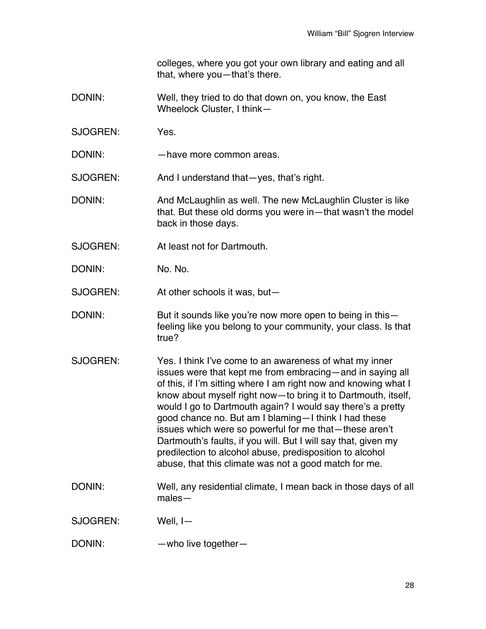colleges, where you got your own library and eating and all that, where you—that's there.

- DONIN: Well, they tried to do that down on, you know, the East Wheelock Cluster, I think—
- SJOGREN: Yes.
- DONIN: have more common areas.

SJOGREN: And I understand that—yes, that's right.

- DONIN: And McLaughlin as well. The new McLaughlin Cluster is like that. But these old dorms you were in—that wasn't the model back in those days.
- SJOGREN: At least not for Dartmouth.
- DONIN: No. No. 0.

SJOGREN: At other schools it was, but—

- DONIN: But it sounds like you're now more open to being in thisfeeling like you belong to your community, your class. Is that true?
- SJOGREN: Yes. I think I've come to an awareness of what my inner issues were that kept me from embracing—and in saying all of this, if I'm sitting where I am right now and knowing what I know about myself right now—to bring it to Dartmouth, itself, would I go to Dartmouth again? I would say there's a pretty good chance no. But am I blaming—I think I had these issues which were so powerful for me that—these aren't Dartmouth's faults, if you will. But I will say that, given my predilection to alcohol abuse, predisposition to alcohol abuse, that this climate was not a good match for me.
- DONIN: Well, any residential climate, I mean back in those days of all males—

SJOGREN: Well, I—

DONIN: —who live together-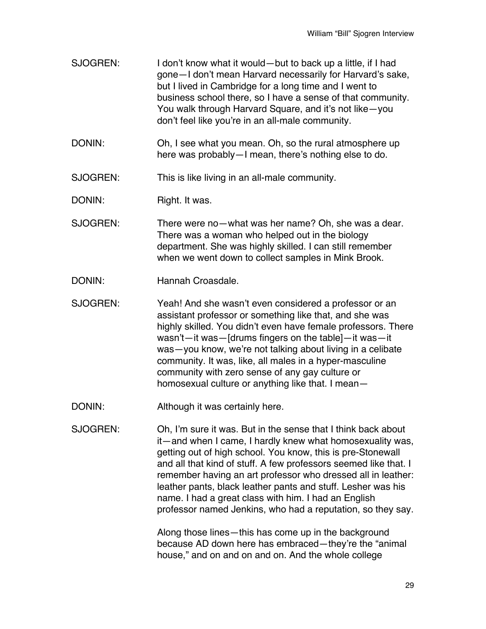- SJOGREN: I don't know what it would—but to back up a little, if I had gone—I don't mean Harvard necessarily for Harvard's sake, but I lived in Cambridge for a long time and I went to business school there, so I have a sense of that community. You walk through Harvard Square, and it's not like—you don't feel like you're in an all-male community.
- DONIN: Oh, I see what you mean. Oh, so the rural atmosphere up here was probably—I mean, there's nothing else to do.

SJOGREN: This is like living in an all-male community.

DONIN: Right. It was.

SJOGREN: There were no—what was her name? Oh, she was a dear. There was a woman who helped out in the biology department. She was highly skilled. I can still remember when we went down to collect samples in Mink Brook.

- DONIN: Hannah Croasdale.
- SJOGREN: Yeah! And she wasn't even considered a professor or an assistant professor or something like that, and she was highly skilled. You didn't even have female professors. There wasn't—it was—[drums fingers on the table]—it was—it was—you know, we're not talking about living in a celibate community. It was, like, all males in a hyper-masculine community with zero sense of any gay culture or homosexual culture or anything like that. I mean—
- DONIN: Although it was certainly here.
- SJOGREN: Oh, I'm sure it was. But in the sense that I think back about it—and when I came, I hardly knew what homosexuality was, getting out of high school. You know, this is pre-Stonewall and all that kind of stuff. A few professors seemed like that. I remember having an art professor who dressed all in leather: leather pants, black leather pants and stuff. Lesher was his name. I had a great class with him. I had an English professor named Jenkins, who had a reputation, so they say.

Along those lines—this has come up in the background because AD down here has embraced—they're the "animal house," and on and on and on. And the whole college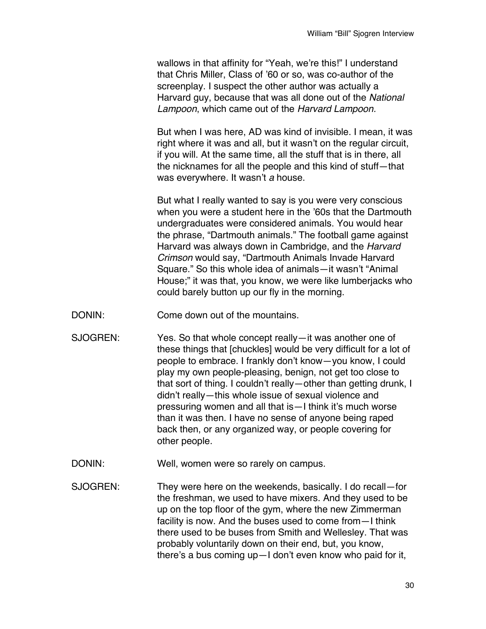wallows in that affinity for "Yeah, we're this!" I understand that Chris Miller, Class of '60 or so, was co-author of the screenplay. I suspect the other author was actually a Harvard guy, because that was all done out of the *National Lampoon*, which came out of the *Harvard Lampoon.*

But when I was here, AD was kind of invisible. I mean, it was right where it was and all, but it wasn't on the regular circuit, if you will. At the same time, all the stuff that is in there, all the nicknames for all the people and this kind of stuff—that was everywhere. It wasn't *a* house.

But what I really wanted to say is you were very conscious when you were a student here in the '60s that the Dartmouth undergraduates were considered animals. You would hear the phrase, "Dartmouth animals." The football game against Harvard was always down in Cambridge, and the *Harvard Crimson* would say, "Dartmouth Animals Invade Harvard Square." So this whole idea of animals—it wasn't "Animal House;" it was that, you know, we were like lumberjacks who could barely button up our fly in the morning.

- DONIN: Come down out of the mountains.
- SJOGREN: Yes. So that whole concept really—it was another one of these things that [chuckles] would be very difficult for a lot of people to embrace. I frankly don't know—you know, I could play my own people-pleasing, benign, not get too close to that sort of thing. I couldn't really—other than getting drunk, I didn't really—this whole issue of sexual violence and pressuring women and all that is—I think it's much worse than it was then. I have no sense of anyone being raped back then, or any organized way, or people covering for other people.
- DONIN: Well, women were so rarely on campus.
- SJOGREN: They were here on the weekends, basically. I do recall—for the freshman, we used to have mixers. And they used to be up on the top floor of the gym, where the new Zimmerman facility is now. And the buses used to come from—I think there used to be buses from Smith and Wellesley. That was probably voluntarily down on their end, but, you know, there's a bus coming up—I don't even know who paid for it,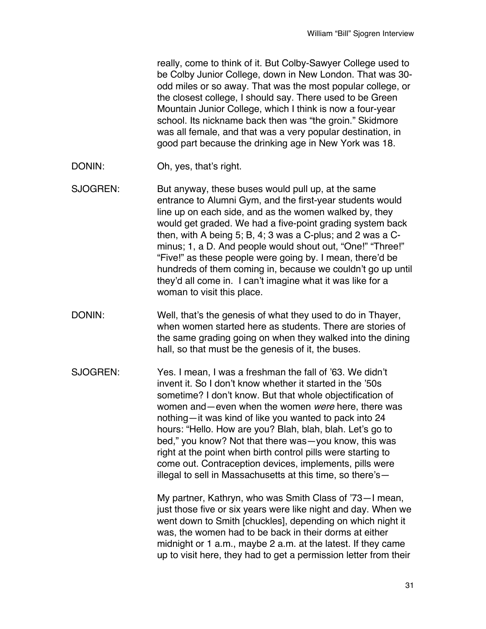really, come to think of it. But Colby-Sawyer College used to be Colby Junior College, down in New London. That was 30 odd miles or so away. That was the most popular college, or the closest college, I should say. There used to be Green Mountain Junior College, which I think is now a four-year school. Its nickname back then was "the groin." Skidmore was all female, and that was a very popular destination, in good part because the drinking age in New York was 18.

- DONIN: Oh, yes, that's right.
- SJOGREN: But anyway, these buses would pull up, at the same entrance to Alumni Gym, and the first-year students would line up on each side, and as the women walked by, they would get graded. We had a five-point grading system back then, with A being 5; B, 4; 3 was a C-plus; and 2 was a Cminus; 1, a D. And people would shout out, "One!" "Three!" "Five!" as these people were going by. I mean, there'd be hundreds of them coming in, because we couldn't go up until they'd all come in. I can't imagine what it was like for a woman to visit this place.
- DONIN: Well, that's the genesis of what they used to do in Thayer, when women started here as students. There are stories of the same grading going on when they walked into the dining hall, so that must be the genesis of it, the buses.
- SJOGREN: Yes. I mean, I was a freshman the fall of '63. We didn't invent it. So I don't know whether it started in the '50s sometime? I don't know. But that whole objectification of women and—even when the women *were* here, there was nothing—it was kind of like you wanted to pack into 24 hours: "Hello. How are you? Blah, blah, blah. Let's go to bed," you know? Not that there was—you know, this was right at the point when birth control pills were starting to come out. Contraception devices, implements, pills were illegal to sell in Massachusetts at this time, so there's—

My partner, Kathryn, who was Smith Class of '73—I mean, just those five or six years were like night and day. When we went down to Smith [chuckles], depending on which night it was, the women had to be back in their dorms at either midnight or 1 a.m., maybe 2 a.m. at the latest. If they came up to visit here, they had to get a permission letter from their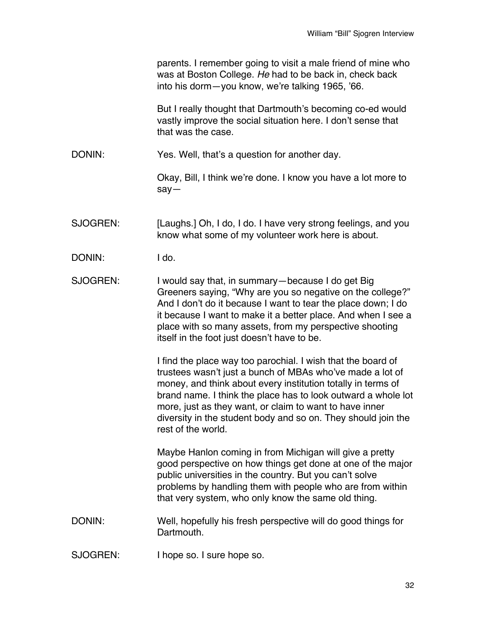|          | parents. I remember going to visit a male friend of mine who<br>was at Boston College. He had to be back in, check back<br>into his dorm-you know, we're talking 1965, '66.                                                                                                                                                                                                                                  |
|----------|--------------------------------------------------------------------------------------------------------------------------------------------------------------------------------------------------------------------------------------------------------------------------------------------------------------------------------------------------------------------------------------------------------------|
|          | But I really thought that Dartmouth's becoming co-ed would<br>vastly improve the social situation here. I don't sense that<br>that was the case.                                                                                                                                                                                                                                                             |
| DONIN:   | Yes. Well, that's a question for another day.                                                                                                                                                                                                                                                                                                                                                                |
|          | Okay, Bill, I think we're done. I know you have a lot more to<br>$say -$                                                                                                                                                                                                                                                                                                                                     |
| SJOGREN: | [Laughs.] Oh, I do, I do. I have very strong feelings, and you<br>know what some of my volunteer work here is about.                                                                                                                                                                                                                                                                                         |
| DONIN:   | I do.                                                                                                                                                                                                                                                                                                                                                                                                        |
| SJOGREN: | I would say that, in summary—because I do get Big<br>Greeners saying, "Why are you so negative on the college?"<br>And I don't do it because I want to tear the place down; I do<br>it because I want to make it a better place. And when I see a<br>place with so many assets, from my perspective shooting<br>itself in the foot just doesn't have to be.                                                  |
|          | I find the place way too parochial. I wish that the board of<br>trustees wasn't just a bunch of MBAs who've made a lot of<br>money, and think about every institution totally in terms of<br>brand name. I think the place has to look outward a whole lot<br>more, just as they want, or claim to want to have inner<br>diversity in the student body and so on. They should join the<br>rest of the world. |
|          | Maybe Hanlon coming in from Michigan will give a pretty<br>good perspective on how things get done at one of the major<br>public universities in the country. But you can't solve<br>problems by handling them with people who are from within<br>that very system, who only know the same old thing.                                                                                                        |
| DONIN:   | Well, hopefully his fresh perspective will do good things for<br>Dartmouth.                                                                                                                                                                                                                                                                                                                                  |
| SJOGREN: | I hope so. I sure hope so.                                                                                                                                                                                                                                                                                                                                                                                   |